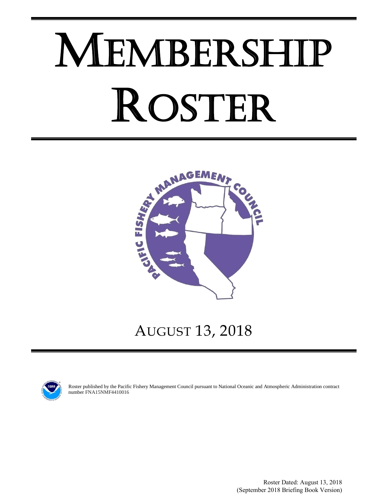# MEMBERSHIP ROSTER



# AUGUST 13, 2018



Roster published by the Pacific Fishery Management Council pursuant to National Oceanic and Atmospheric Administration contract number FNA15NMF4410016

> Roster Dated: August 13, 2018 (September 2018 Briefing Book Version)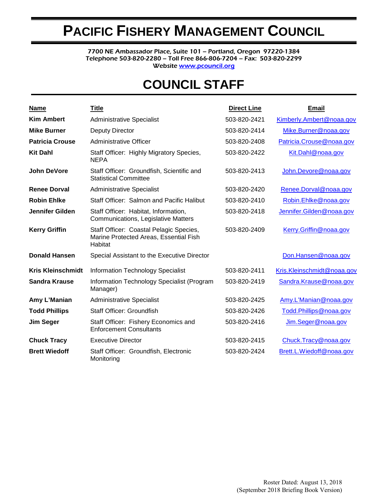# **PACIFIC FISHERY MANAGEMENT COUNCIL**

7700 NE Ambassador Place, Suite 101 – Portland, Oregon 97220-1384 Telephone 503-820-2280 – Toll Free 866-806-7204 – Fax: 503-820-2299 Websit[e www.pcouncil.org](http://www.pcouncil.org/)

# **COUNCIL STAFF**

| <b>Name</b>              | <b>Title</b>                                                                                 | <b>Direct Line</b> | <b>Email</b>               |
|--------------------------|----------------------------------------------------------------------------------------------|--------------------|----------------------------|
| <b>Kim Ambert</b>        | <b>Administrative Specialist</b>                                                             | 503-820-2421       | Kimberly.Ambert@noaa.gov   |
| <b>Mike Burner</b>       | Deputy Director                                                                              | 503-820-2414       | Mike.Burner@noaa.gov       |
| <b>Patricia Crouse</b>   | Administrative Officer                                                                       | 503-820-2408       | Patricia.Crouse@noaa.gov   |
| <b>Kit Dahl</b>          | Staff Officer: Highly Migratory Species,<br><b>NEPA</b>                                      | 503-820-2422       | Kit.Dahl@noaa.gov          |
| <b>John DeVore</b>       | Staff Officer: Groundfish, Scientific and<br><b>Statistical Committee</b>                    | 503-820-2413       | John.Devore@noaa.gov       |
| <b>Renee Dorval</b>      | <b>Administrative Specialist</b>                                                             | 503-820-2420       | Renee.Dorval@noaa.gov      |
| <b>Robin Ehlke</b>       | Staff Officer: Salmon and Pacific Halibut                                                    | 503-820-2410       | Robin.Ehlke@noaa.gov       |
| Jennifer Gilden          | Staff Officer: Habitat, Information,<br>Communications, Legislative Matters                  | 503-820-2418       | Jennifer.Gilden@noaa.gov   |
| <b>Kerry Griffin</b>     | Staff Officer: Coastal Pelagic Species,<br>Marine Protected Areas, Essential Fish<br>Habitat | 503-820-2409       | Kerry.Griffin@noaa.gov     |
| <b>Donald Hansen</b>     | Special Assistant to the Executive Director                                                  |                    | Don.Hansen@noaa.gov        |
| <b>Kris Kleinschmidt</b> | <b>Information Technology Specialist</b>                                                     | 503-820-2411       | Kris.Kleinschmidt@noaa.gov |
| <b>Sandra Krause</b>     | Information Technology Specialist (Program<br>Manager)                                       | 503-820-2419       | Sandra.Krause@noaa.gov     |
| Amy L'Manian             | <b>Administrative Specialist</b>                                                             | 503-820-2425       | Amy.L'Manian@noaa.gov      |
| <b>Todd Phillips</b>     | Staff Officer: Groundfish                                                                    | 503-820-2426       | Todd.Phillips@noaa.gov     |
| <b>Jim Seger</b>         | Staff Officer: Fishery Economics and<br><b>Enforcement Consultants</b>                       | 503-820-2416       | Jim.Seger@noaa.gov         |
| <b>Chuck Tracy</b>       | <b>Executive Director</b>                                                                    | 503-820-2415       | Chuck.Tracy@noaa.gov       |
| <b>Brett Wiedoff</b>     | Staff Officer: Groundfish, Electronic<br>Monitoring                                          | 503-820-2424       | Brett.L.Wiedoff@noaa.gov   |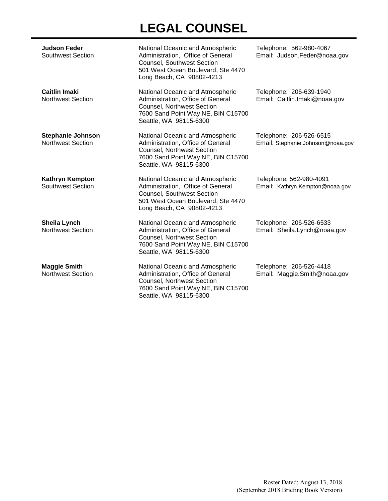# **LEGAL COUNSEL**

| <b>Judson Feder</b><br><b>Southwest Section</b>  | National Oceanic and Atmospheric<br>Administration, Office of General<br><b>Counsel, Southwest Section</b><br>501 West Ocean Boulevard, Ste 4470<br>Long Beach, CA 90802-4213 | Telephone: 562-980-4067<br>Email: Judson.Feder@noaa.gov      |
|--------------------------------------------------|-------------------------------------------------------------------------------------------------------------------------------------------------------------------------------|--------------------------------------------------------------|
| <b>Caitlin Imaki</b><br><b>Northwest Section</b> | National Oceanic and Atmospheric<br>Administration, Office of General<br><b>Counsel, Northwest Section</b><br>7600 Sand Point Way NE, BIN C15700<br>Seattle, WA 98115-6300    | Telephone: 206-639-1940<br>Email: Caitlin.Imaki@noaa.gov     |
| <b>Stephanie Johnson</b><br>Northwest Section    | National Oceanic and Atmospheric<br>Administration, Office of General<br><b>Counsel, Northwest Section</b><br>7600 Sand Point Way NE, BIN C15700<br>Seattle, WA 98115-6300    | Telephone: 206-526-6515<br>Email: Stephanie.Johnson@noaa.gov |
| Kathryn Kempton<br>Southwest Section             | National Oceanic and Atmospheric<br>Administration, Office of General<br><b>Counsel, Southwest Section</b><br>501 West Ocean Boulevard, Ste 4470<br>Long Beach, CA 90802-4213 | Telephone: 562-980-4091<br>Email: Kathryn.Kempton@noaa.gov   |
| Sheila Lynch<br><b>Northwest Section</b>         | National Oceanic and Atmospheric<br>Administration, Office of General<br><b>Counsel, Northwest Section</b><br>7600 Sand Point Way NE, BIN C15700<br>Seattle, WA 98115-6300    | Telephone: 206-526-6533<br>Email: Sheila.Lynch@noaa.gov      |
| <b>Maggie Smith</b><br><b>Northwest Section</b>  | National Oceanic and Atmospheric<br>Administration, Office of General<br>Counsel, Northwest Section<br>7600 Sand Point Way NE, BIN C15700<br>Seattle, WA 98115-6300           | Telephone: 206-526-4418<br>Email: Maggie.Smith@noaa.gov      |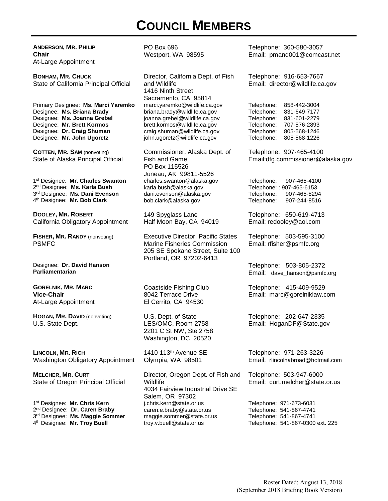# **COUNCIL MEMBERS**

**ANDERSON, MR. PHILIP Chair** At-Large Appointment PO Box 696 Westport, WA 98595 Telephone: 360-580-3057 Email: pmand001@comcast.net **BONHAM, MR. CHUCK** State of California Principal Official Director, California Dept. of Fish and Wildlife 1416 Ninth Street Sacramento, CA 95814 Telephone: 916-653-7667 Email: director@wildlife.ca.gov Primary Designee: **Ms. Marci Yaremko** Designee: **Ms. Briana Brady** Designee: **Ms. Joanna Grebel** Designee: **Mr. Brett Kormos** Designee: **Dr. Craig Shuman** Designee: **Mr. John Ugoretz** marci.yaremko@wildlife.ca.gov briana.brady@wildlife.ca.gov joanna.grebel@wildlife.ca.gov brett.kormos@wildlife.ca.gov craig.shuman@wildlife.ca.gov john.ugoretz@wildlife.ca.gov Telephone: 858-442-3004 Telephone: 831-649-7177 Telephone: 831-601-2279 Telephone: 707-576-2893 Telephone: 805-568-1246 Telephone: 805-568-1226 **COTTEN, MR. SAM** (nonvoting) State of Alaska Principal Official Commissioner, Alaska Dept. of Fish and Game PO Box 115526 Juneau, AK 99811-5526 Telephone: 907-465-4100 Email:dfg.commissioner@alaska.gov 1st Designee: **Mr. Charles Swanton** 2nd Designee: **Ms. Karla Bush** 3rd Designee: **Ms. Dani Evenson** 4th Designee: **Mr. Bob Clark** charles.swanton@alaska.gov karla.bush@alaska.gov dani.evenson@alaska.gov bob.clark@alaska.gov Telephone: 907-465-4100 Telephone: : 907-465-6153<br>Telephone: 907-465-829 907-465-8294 Telephone: 907-244-8516 **DOOLEY, MR. ROBERT** California Obligatory Appointment 149 Spyglass Lane Half Moon Bay, CA 94019 Telephone: 650-619-4713 Email: redooley@aol.com **FISHER, MR. RANDY** (nonvoting) PSMFC Executive Director, Pacific States Marine Fisheries Commission 205 SE Spokane Street, Suite 100 Portland, OR 97202-6413 Telephone: 503-595-3100 Email: rfisher@psmfc.org Designee: **Dr. David Hanson Parliamentarian** Telephone: 503-805-2372 Email: dave\_hanson@psmfc.org **GORELNIK, MR. MARC Vice-Chair** At-Large Appointment Coastside Fishing Club 8042 Terrace Drive El Cerrito, CA 94530 Telephone: 415-409-9529 Email: marc@gorelniklaw.com **HOGAN, MR. DAVID** (nonvoting) U.S. State Dept. U.S. Dept. of State LES/OMC, Room 2758 2201 C St NW, Ste 2758 Washington, DC 20520 Telephone: 202-647-2335 Email: HoganDF@State.gov **LINCOLN, MR. RICH** Washington Obligatory Appointment 1410 113th Avenue SE Olympia, WA 98501 Telephone: 971-263-3226 Email: rlincolnabroad@hotmail.com **MELCHER, MR. CURT** State of Oregon Principal Official Director, Oregon Dept. of Fish and Wildlife 4034 Fairview Industrial Drive SE Salem, OR 97302 Telephone: 503-947-6000 Email: curt.melcher@state.or.us 1st Designee: **Mr. Chris Kern** 2nd Designee: **Dr. Caren Braby** 3rd Designee: **Ms. Maggie Sommer** 4th Designee: **Mr. Troy Buell** j.chris.kern@state.or.us caren.e.braby@state.or.us maggie.sommer@state.or.us troy.v.buell@state.or.us Telephone: 971-673-6031 Telephone: 541-867-4741 Telephone: 541-867-4741 Telephone: 541-867-0300 ext. 225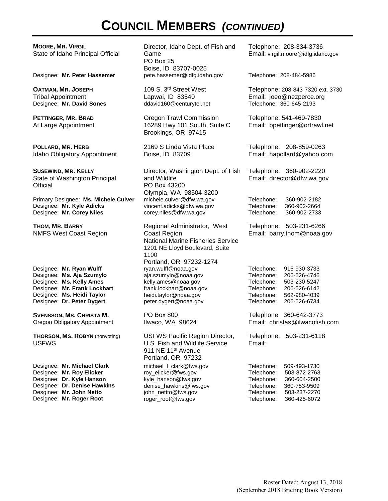# **COUNCIL MEMBERS** *(CONTINUED)*

**MOORE, MR. VIRGIL** State of Idaho Principal Official

**OATMAN, MR. JOSEPH** Tribal Appointment Designee: Mr. David Sones

**PETTINGER, MR. BRAD** At Large Appointment

**POLLARD, MR. HERB** Idaho Obligatory Appointment

**SUSEWIND, MR. KELLY** State of Washington Principal **Official** 

Primary Designee: **Ms. Michele Culver** Designee: **Mr. Kyle Adicks** Designee: **Mr. Corey Niles**

**THOM, MR. BARRY** NMFS West Coast Region

Designee: **Mr. Ryan Wulff** Designee: **Ms. Aja Szumylo** Designee: **Ms. Kelly Ames** Designee: **Mr. Frank Lockhart** Designee: **Ms. Heidi Taylor** Designee: **Dr. Peter Dygert**

**SVENSSON, MS. CHRISTA M.** Oregon Obligatory Appointment

**THORSON, MS. ROBYN** (nonvoting) USFWS

Designee: **Mr. Michael Clark** Designee: **Mr. Roy Elicker** Designee: **Dr. Kyle Hanson** Designee: **Dr. Denise Hawkins** Desginee: **Mr. John Netto** Designee: **Mr. Roger Root**

Director, Idaho Dept. of Fish and Game PO Box 25 Boise, ID 83707-0025<br>pete.hassemer@idfg.idaho.gov Designee: **Mr. Peter Hassemer** pete.hassemer@idfg.idaho.gov Telephone: 208-484-5986

> 109 S. 3rd Street West Lapwai, ID 83540<br>ddavid160@centurytel.net

Oregon Trawl Commission 16289 Hwy 101 South, Suite C Brookings, OR 97415

2169 S Linda Vista Place Boise, ID 83709

Director, Washington Dept. of Fish and Wildlife PO Box 43200 Olympia, WA 98504-3200 michele.culver@dfw.wa.gov vincent.adicks@dfw.wa.gov corey.niles@dfw.wa.gov

Regional Administrator, West Coast Region National Marine Fisheries Service 1201 NE Lloyd Boulevard, Suite 1100 Portland, OR 97232-1274 ryan.wulff@noaa.gov aja.szumylo@noaa.gov kelly.ames@noaa.gov frank.lockhart@noaa.gov heidi.taylor@noaa.gov peter.dygert@noaa.gov PO Box 800

Ilwaco, WA 98624

USFWS Pacific Region Director, U.S. Fish and Wildlife Service 911 NE 11<sup>th</sup> Avenue Portland, OR 97232 michael\_l\_clark@fws.gov roy\_elicker@fws.gov kyle\_hanson@fws.gov denise\_hawkins@fws.gov john\_nettto@fws.gov roger\_root@fws.gov

Telephone: 208-334-3736 Email: virgil.moore@idfg.idaho.gov

Telephone: 208-843-7320 ext. 3730 Email: joeo@nezperce.org<br>Telephone: 360-645-2193

Telephone: 541-469-7830 Email: bpettinger@ortrawl.net

Telephone: 208-859-0263 Email: hapollard@yahoo.com

Telephone: 360-902-2220 Email: director@dfw.wa.gov

Telephone: 360-902-2182 360-902-2664 Telephone: 360-902-2733

Telephone: 503-231-6266 Email: barry.thom@noaa.gov

Telephone: 916-930-3733 Telephone: 206-526-4746 Telephone: 503-230-5247 Telephone: 206-526-6142 Telephone: 562-980-4039 Telephone: 206-526-6734

Telephone 360-642-3773 Email: christas@ilwacofish.com

Telephone: 503-231-6118 Email:

Telephone: 509-493-1730 Telephone: 503-872-2763 Telephone: 360-604-2500 Telephone: 360-753-9509 Telephone: 503-237-2270 Telephone: 360-425-6072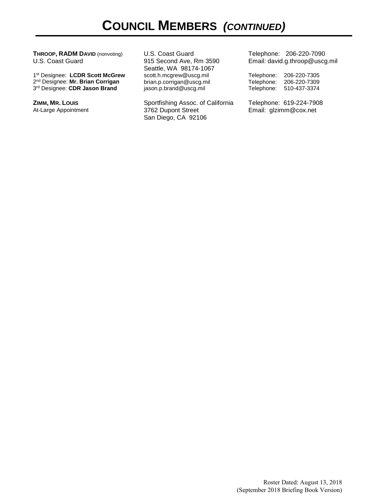**THROOP, RADM DAVID** (nonvoting) U.S. Coast Guard

1st Designee: **LCDR Scott McGrew** 2nd Designee: **Mr. Brian Corrigan** 3rd Designee: **CDR Jason Brand**

**ZIMM, MR. LOUIS** At-Large Appointment U.S. Coast Guard 915 Second Ave, Rm 3590 Seattle, WA 98174-1067 scott.h.mcgrew@uscg.mil brian.p.corrigan@uscg.mil jason.p.brand@uscg.mil

Sportfishing Assoc. of California 3762 Dupont Street San Diego, CA 92106

Telephone: 206-220-7090 Email: david.g.throop@uscg.mil

Telephone: 206-220-7305 Telephone: 206-220-7309 Telephone: 510-437-3374

Telephone: 619-224-7908 Email: glzimm@cox.net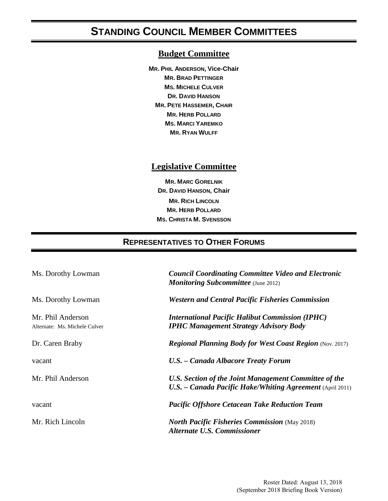## **STANDING COUNCIL MEMBER COMMITTEES**

#### **Budget Committee**

**MR. PHIL ANDERSON, Vice-Chair MR. BRAD PETTINGER MS. MICHELE CULVER DR. DAVID HANSON MR. PETE HASSEMER, CHAIR MR. HERB POLLARD MS. MARCI YAREMKO MR. RYAN WULFF**

#### **Legislative Committee**

**MR. MARC GORELNIK DR. DAVID HANSON, Chair MR. RICH LINCOLN MR. HERB POLLARD MS. CHRISTA M. SVENSSON**

#### **REPRESENTATIVES TO OTHER FORUMS**

| Ms. Dorothy Lowman                                 | <b>Council Coordinating Committee Video and Electronic</b><br><b>Monitoring Subcommittee</b> (June 2012)           |
|----------------------------------------------------|--------------------------------------------------------------------------------------------------------------------|
| Ms. Dorothy Lowman                                 | <b>Western and Central Pacific Fisheries Commission</b>                                                            |
| Mr. Phil Anderson<br>Alternate: Ms. Michele Culver | <b>International Pacific Halibut Commission (IPHC)</b><br><b>IPHC Management Strategy Advisory Body</b>            |
| Dr. Caren Braby                                    | <b>Regional Planning Body for West Coast Region (Nov. 2017)</b>                                                    |
| vacant                                             | U.S. - Canada Albacore Treaty Forum                                                                                |
| Mr. Phil Anderson                                  | U.S. Section of the Joint Management Committee of the<br>U.S. - Canada Pacific Hake/Whiting Agreement (April 2011) |
| vacant                                             | <b>Pacific Offshore Cetacean Take Reduction Team</b>                                                               |
| Mr. Rich Lincoln                                   | <b>North Pacific Fisheries Commission</b> (May 2018)<br><b>Alternate U.S. Commissioner</b>                         |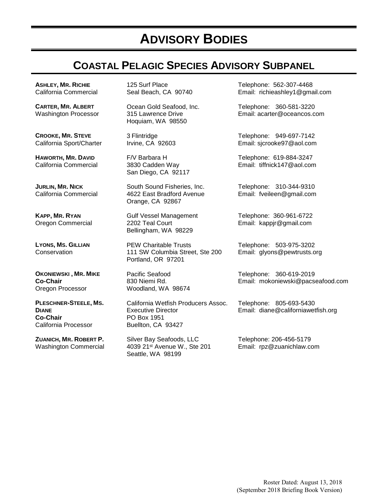# **ADVISORY BODIES**

## **COASTAL PELAGIC SPECIES ADVISORY SUBPANEL**

**ASHLEY, MR. RICHIE** California Commercial

**CARTER, MR. ALBERT** Washington Processor

**CROOKE, MR. STEVE** California Sport/Charter

**HAWORTH, MR. DAVID** California Commercial

**JURLIN, MR. NICK** California Commercial

**KAPP, MR. RYAN** Oregon Commercial

**LYONS, MS. GILLIAN Conservation** 

**OKONIEWSKI , MR. MIKE Co-Chair** Oregon Processor

**PLESCHNER-STEELE, MS. DIANE Co-Chair** California Processor

**ZUANICH, MR. ROBERT P.** Washington Commercial 125 Surf Place Seal Beach, CA 90740

Ocean Gold Seafood, Inc. 315 Lawrence Drive Hoquiam, WA 98550

3 Flintridge Irvine, CA 92603

F/V Barbara H 3830 Cadden Way San Diego, CA 92117

South Sound Fisheries, Inc. 4622 East Bradford Avenue Orange, CA 92867

Gulf Vessel Management 2202 Teal Court Bellingham, WA 98229

PEW Charitable Trusts 111 SW Columbia Street, Ste 200 Portland, OR 97201

Pacific Seafood 830 Niemi Rd. Woodland, WA 98674

California Wetfish Producers Assoc. Executive Director PO Box 1951 Buellton, CA 93427

Silver Bay Seafoods, LLC 4039 21st Avenue W., Ste 201 Seattle, WA 98199

Telephone: 562-307-4468 Email: richieashley1@gmail.com

Telephone: 360-581-3220 Email: acarter@oceancos.com

Telephone: 949-697-7142 Email: sjcrooke97@aol.com

Telephone: 619-884-3247 Email: tiffnick147@aol.com

Telephone: 310-344-9310 Email: fveileen@gmail.com

Telephone: 360-961-6722 Email: kappjr@gmail.com

Telephone: 503-975-3202 Email: glyons@pewtrusts.org

Telephone: 360-619-2019 Email: mokoniewski@pacseafood.com

Telephone: 805-693-5430 Email: [diane@californiawetfish.org](mailto:diane@californiawetfish.org)

Telephone: 206-456-5179 Email: rpz@zuanichlaw.com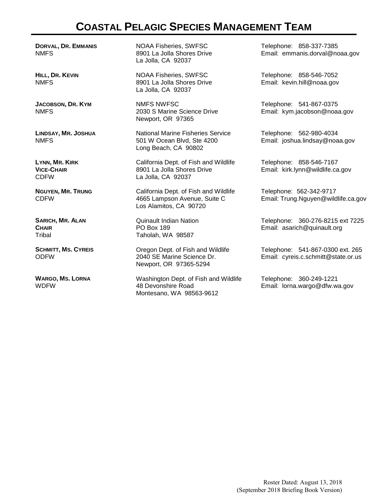## **COASTAL PELAGIC SPECIES MANAGEMENT TEAM**

**DORVAL, DR. EMMANIS** NMFS

**HILL, DR. KEVIN** NMFS

**JACOBSON, DR. KYM** NMFS

**LINDSAY, MR. JOSHUA** NMFS

**LYNN, MR. KIRK VICE-CHAIR** CDFW

**NGUYEN, MR. TRUNG** CDFW

**SARICH, MR. ALAN CHAIR**  Tribal

**SCHMITT, MS. CYREIS**  ODFW

**WARGO, MS. LORNA** WDFW

NOAA Fisheries, SWFSC 8901 La Jolla Shores Drive La Jolla, CA 92037

NOAA Fisheries, SWFSC 8901 La Jolla Shores Drive La Jolla, CA 92037

NMFS NWFSC 2030 S Marine Science Drive Newport, OR 97365

National Marine Fisheries Service 501 W Ocean Blvd, Ste 4200 Long Beach, CA 90802

California Dept. of Fish and Wildlife 8901 La Jolla Shores Drive La Jolla, CA 92037

California Dept. of Fish and Wildlife 4665 Lampson Avenue, Suite C Los Alamitos, CA 90720

Quinault Indian Nation PO Box 189 Taholah, WA 98587

Oregon Dept. of Fish and Wildlife 2040 SE Marine Science Dr. Newport, OR 97365-5294

Washington Dept. of Fish and Wildlife 48 Devonshire Road Montesano, WA 98563-9612

Telephone: 858-337-7385 Email: emmanis.dorval@noaa.gov

Telephone: 858-546-7052 Email: kevin.hill@noaa.gov

Telephone: 541-867-0375 Email: kym.jacobson@noaa.gov

Telephone: 562-980-4034 Email: joshua.lindsay@noaa.gov

Telephone: 858-546-7167 Email: kirk.lynn@wildlife.ca.gov

Telephone: 562-342-9717 Email: Trung.Nguyen@wildlife.ca.gov

Telephone: 360-276-8215 ext 7225 Email: asarich@quinault.org

Telephone: 541-867-0300 ext. 265 Email: cyreis.c.schmitt@state.or.us

Telephone: 360-249-1221 Email: lorna.wargo@dfw.wa.gov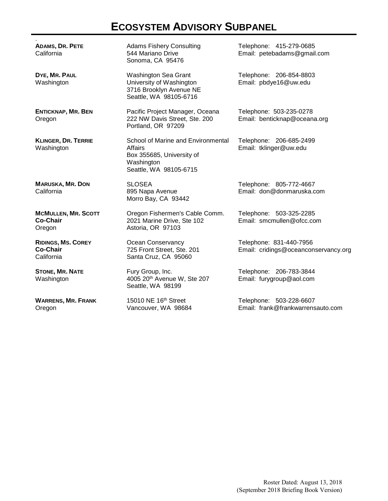## **ECOSYSTEM ADVISORY SUBPANEL**

| ADAMS, DR. PETE<br>California                           | <b>Adams Fishery Consulting</b><br>544 Mariano Drive<br>Sonoma, CA 95476                                           | Telephone: 415-279-0685<br>Email: petebadams@gmail.com          |
|---------------------------------------------------------|--------------------------------------------------------------------------------------------------------------------|-----------------------------------------------------------------|
| DYE, MR. PAUL<br>Washington                             | Washington Sea Grant<br>University of Washington<br>3716 Brooklyn Avenue NE<br>Seattle, WA 98105-6716              | Telephone: 206-854-8803<br>Email: pbdye16@uw.edu                |
| <b>ENTICKNAP, MR. BEN</b><br>Oregon                     | Pacific Project Manager, Oceana<br>222 NW Davis Street, Ste. 200<br>Portland, OR 97209                             | Telephone: 503-235-0278<br>Email: benticknap@oceana.org         |
| <b>KLINGER, DR. TERRIE</b><br>Washington                | School of Marine and Environmental<br>Affairs<br>Box 355685, University of<br>Washington<br>Seattle, WA 98105-6715 | Telephone: 206-685-2499<br>Email: tklinger@uw.edu               |
| <b>MARUSKA, MR. DON</b><br>California                   | <b>SLOSEA</b><br>895 Napa Avenue<br>Morro Bay, CA 93442                                                            | Telephone: 805-772-4667<br>Email: don@donmaruska.com            |
| <b>MCMULLEN, MR. SCOTT</b><br><b>Co-Chair</b><br>Oregon | Oregon Fishermen's Cable Comm.<br>2021 Marine Drive, Ste 102<br>Astoria, OR 97103                                  | Telephone: 503-325-2285<br>Email: smcmullen@ofcc.com            |
| <b>RIDINGS, MS. COREY</b><br>Co-Chair<br>California     | Ocean Conservancy<br>725 Front Street, Ste. 201<br>Santa Cruz, CA 95060                                            | Telephone: 831-440-7956<br>Email: cridings@oceanconservancy.org |
| <b>STONE, MR. NATE</b><br>Washington                    | Fury Group, Inc.<br>4005 20th Avenue W, Ste 207<br>Seattle, WA 98199                                               | Telephone: 206-783-3844<br>Email: furygroup@aol.com             |
| <b>WARRENS, MR. FRANK</b><br>Oregon                     | 15010 NE 16th Street<br>Vancouver, WA 98684                                                                        | Telephone: 503-228-6607<br>Email: frank@frankwarrensauto.com    |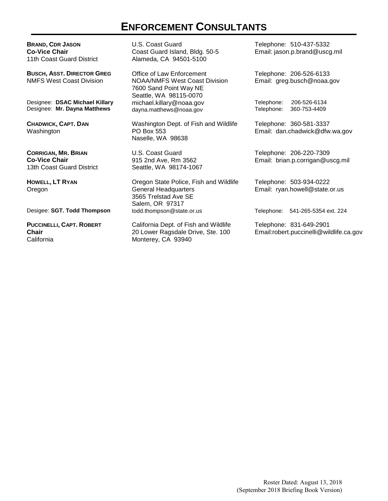### **ENFORCEMENT CONSULTANTS**

**BRAND, CDR JASON Co-Vice Chair** 11th Coast Guard District

**BUSCH, ASST. DIRECTOR GREG** NMFS West Coast Division

Designee: **DSAC Michael Killary** Designee: **Mr. Dayna Matthews**

**CHADWICK, CAPT. DAN** Washington

**CORRIGAN, MR. BRIAN Co-Vice Chair** 13th Coast Guard District

**HOWELL, LT RYAN** Oregon

**PUCCINELLI, CAPT. ROBERT Chair** California

U.S. Coast Guard Coast Guard Island, Bldg. 50-5 Alameda, CA 94501-5100

Office of Law Enforcement NOAA/NMFS West Coast Division 7600 Sand Point Way NE Seattle, WA 98115-0070 michael.killary@noaa.gov dayna.matthews@noaa.gov

Washington Dept. of Fish and Wildlife PO Box 553 Naselle, WA 98638

U.S. Coast Guard 915 2nd Ave, Rm 3562 Seattle, WA 98174-1067

Oregon State Police, Fish and Wildlife General Headquarters 3565 Trelstad Ave SE Salem, OR 97317<br>todd.thompson@state.or.us Desigee: **SGT. Todd Thompson** todd.thompson@state.or.us Telephone: 541-265-5354 ext. 224

> California Dept. of Fish and Wildlife 20 Lower Ragsdale Drive, Ste. 100 Monterey, CA 93940

Telephone: 510-437-5332 Email: jason.p.brand@uscg.mil

Telephone: 206-526-6133 Email: greg.busch@noaa.gov

Telephone: 206-526-6134 Telephone: 360-753-4409

Telephone: 360-581-3337 Email: dan.chadwick@dfw.wa.gov

Telephone: 206-220-7309 Email: brian.p.corrigan@uscg.mil

Telephone: 503-934-0222 Email: ryan.howell@state.or.us

Telephone: 831-649-2901 Email:robert.puccinelli@wildlife.ca.gov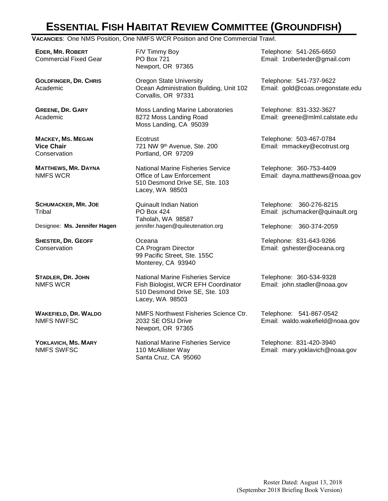## **ESSENTIAL FISH HABITAT REVIEW COMMITTEE (GROUNDFISH)**

**VACANCIES**: One NMS Position, One NMFS WCR Position and One Commercial Trawl.

**EDER, MR. ROBERT** Commercial Fixed Gear

**GOLDFINGER, DR. CHRIS** Academic

**GREENE, DR. GARY** Academic

**MACKEY, MS. MEGAN Vice Chair Conservation** 

**MATTHEWS, MR. DAYNA** NMFS WCR

**SCHUMACKER, MR. JOE Tribal** 

**SHESTER, DR. GEOFF Conservation** 

**STADLER, DR. JOHN** NMFS WCR

**WAKEFIELD, DR. WALDO** NMFS NWFSC

**YOKLAVICH, MS. MARY** NMFS SWFSC

F/V Timmy Boy PO Box 721 Newport, OR 97365

Oregon State University Ocean Administration Building, Unit 102 Corvallis, OR 97331

Moss Landing Marine Laboratories 8272 Moss Landing Road Moss Landing, CA 95039

**Ecotrust** 721 NW 9th Avenue, Ste. 200 Portland, OR 97209

National Marine Fisheries Service Office of Law Enforcement 510 Desmond Drive SE, Ste. 103 Lacey, WA 98503

Quinault Indian Nation PO Box 424 Taholah, WA 98587 Designee: **Ms. Jennifer Hagen** jennifer.hagen@quileutenation.org Telephone: 360-374-2059

> Oceana CA Program Director 99 Pacific Street, Ste. 155C Monterey, CA 93940

National Marine Fisheries Service Fish Biologist, WCR EFH Coordinator 510 Desmond Drive SE, Ste. 103 Lacey, WA 98503

NMFS Northwest Fisheries Science Ctr. 2032 SE OSU Drive Newport, OR 97365

National Marine Fisheries Service 110 McAllister Way Santa Cruz, CA 95060

Telephone: 541-265-6650 Email: 1roberteder@gmail.com

Telephone: 541-737-9622 Email: gold@coas.oregonstate.edu

Telephone: 831-332-3627 Email: greene@mlml.calstate.edu

Telephone: 503-467-0784 Email: mmackey@ecotrust.org

Telephone: 360-753-4409 Email: dayna.matthews@noaa.gov

Telephone: 360-276-8215 Email: jschumacker@quinault.org

Telephone: 831-643-9266 Email: gshester@oceana.org

Telephone: 360-534-9328 Email: john.stadler@noaa.gov

Telephone: 541-867-0542 Email: waldo.wakefield@noaa.gov

Telephone: 831-420-3940 Email: mary.yoklavich@noaa.gov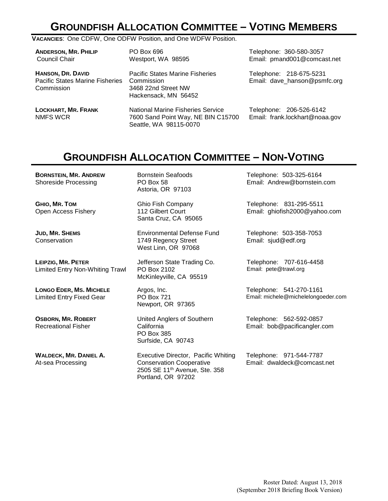## **GROUNDFISH ALLOCATION COMMITTEE – VOTING MEMBERS**

#### **VACANCIES**: One CDFW, One ODFW Position, and One WDFW Position.

| <b>ANDERSON, MR. PHILIP</b><br>Council Chair                                     | PO Box 696<br>Westport, WA 98595                                                                         | Telephone: 360-580-3057<br>Email: pmand001@comcast.net    |
|----------------------------------------------------------------------------------|----------------------------------------------------------------------------------------------------------|-----------------------------------------------------------|
| <b>HANSON, DR. DAVID</b><br><b>Pacific States Marine Fisheries</b><br>Commission | <b>Pacific States Marine Fisheries</b><br>Commission<br>3468 22nd Street NW<br>Hackensack, MN 56452      | Telephone: 218-675-5231<br>Email: dave_hanson@psmfc.org   |
| <b>LOCKHART, MR. FRANK</b><br>NMFS WCR                                           | <b>National Marine Fisheries Service</b><br>7600 Sand Point Way, NE BIN C15700<br>Seattle, WA 98115-0070 | Telephone: 206-526-6142<br>Email: frank.lockhart@noaa.gov |

## **GROUNDFISH ALLOCATION COMMITTEE – NON-VOTING**

**BORNSTEIN, MR. ANDREW**  Shoreside Processing

**GHIO, MR. TOM** Open Access Fishery

**JUD, MR. SHEMS Conservation** 

**LEIPZIG, MR. PETER** Limited Entry Non-Whiting Trawl

**LONGO EDER, MS. MICHELE** Limited Entry Fixed Gear

**OSBORN, MR. ROBERT** Recreational Fisher

**WALDECK, MR. DANIEL A.** At-sea Processing

Bornstein Seafoods PO Box 58 Astoria, OR 97103

Ghio Fish Company 112 Gilbert Court Santa Cruz, CA 95065

Environmental Defense Fund 1749 Regency Street West Linn, OR 97068

Jefferson State Trading Co. PO Box 2102 McKinleyville, CA 95519

Argos, Inc. PO Box 721 Newport, OR 97365

United Anglers of Southern California PO Box 385 Surfside, CA 90743

Executive Director, Pacific Whiting Conservation Cooperative 2505 SE 11th Avenue, Ste. 358 Portland, OR 97202

Telephone: 503-325-6164 Email: Andrew@bornstein.com

Telephone: 831-295-5511 Email: ghiofish2000@yahoo.com

Telephone: 503-358-7053 Email: sjud@edf.org

Telephone: 707-616-4458 Email: pete@trawl.org

Telephone: 541-270-1161 Email: michele@michelelongoeder.com

Telephone: 562-592-0857 Email: bob@pacificangler.com

Telephone: 971-544-7787 Email: dwaldeck@comcast.net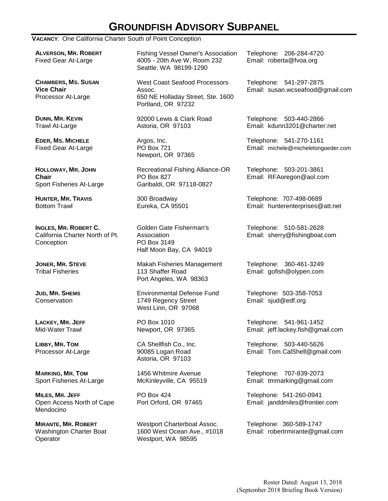## **GROUNDFISH ADVISORY SUBPANEL**

#### **VACANCY**: One California Charter South of Point Conception

**ALVERSON, MR. ROBERT** Fixed Gear At-Large

**CHAMBERS, MS. SUSAN Vice Chair** Processor At-Large

**DUNN, MR. KEVIN** Trawl At-Large

**EDER, MS. MICHELE**  Fixed Gear At-Large

**HOLLOWAY, MR. JOHN Chair** Sport Fisheries At-Large

**HUNTER, MR. TRAVIS** Bottom Trawl

**INGLES, MR. ROBERT C.** California Charter North of Pt. Conception

**JONER, MR. STEVE**  Tribal Fisheries

**JUD, MR. SHEMS Conservation** 

**LACKEY, MR. JEFF**  Mid-Water Trawl

**LIBBY, MR. TOM**  Processor At-Large

**MARKING, MR. TOM** Sport Fisheries At-Large

**MILES, MR. JEFF** Open Access North of Cape Mendocino

**MIRANTE, MR. ROBERT** Washington Charter Boat **Operator** 

Fishing Vessel Owner's Association 4005 - 20th Ave W, Room 232 Seattle, WA 98199-1290

West Coast Seafood Processors Assoc. 650 NE Holladay Street, Ste. 1600 Portland, OR 97232

92000 Lewis & Clark Road Astoria, OR 97103

Argos, Inc. PO Box 721 Newport, OR 97365

Recreational Fishing Alliance-OR PO Box 827 Garibaldi, OR 97118-0827

300 Broadway Eureka, CA 95501

Golden Gate Fisherman's Association PO Box 3149 Half Moon Bay, CA 94019

Makah Fisheries Management 113 Shaffer Road Port Angeles, WA 98363

Environmental Defense Fund 1749 Regency Street West Linn, OR 97068

PO Box 1010 Newport, OR 97365

CA Shellfish Co., Inc. 90085 Logan Road Astoria, OR 97103

1456 Whitmire Avenue McKinleyville, CA 95519

PO Box 424 Port Orford, OR 97465

Westport Charterboat Assoc. 1600 West Ocean Ave., #1018 Westport, WA 98595

Telephone: 206-284-4720 Email: roberta@fvoa.org

Telephone: 541-297-2875 Email: susan.wcseafood@gmail.com

Telephone: 503-440-2866 Email: kdunn3201@charter.net

Telephone: 541-270-1161 Email: michele@michelelongoeder.com

Telephone: 503-201-3861 Email: RFAoregon@aol.com

Telephone: 707-498-0689 Email: hunterenterprises@att.net

Telephone: 510-581-2628 Email: sherry@fishingboat.com

Telephone: 360-461-3249 Email: gofish@olypen.com

Telephone: 503-358-7053 Email: sjud@edf.org

Telephone: 541-961-1452 Email: jeff.lackey.fish@gmail.com

Telephone: 503-440-5626 Email: Tom.CalShell@gmail.com

Telephone: 707-839-2073 Email: tmmarking@gmail.com

Telephone: 541-260-0941 Email: janddmiles@frontier.com

Telephone: 360-589-1747 Email: robertrmirante@gmail.com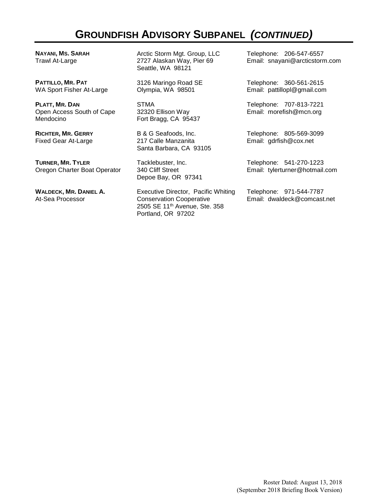## **GROUNDFISH ADVISORY SUBPANEL** *(CONTINUED)*

**NAYANI, MS. SARAH** Trawl At-Large

**PATTILLO, MR. PAT**  WA Sport Fisher At-Large

**PLATT, MR. DAN** Open Access South of Cape Mendocino

**RICHTER, MR. GERRY** Fixed Gear At-Large

**TURNER, MR. TYLER** Oregon Charter Boat Operator

**WALDECK, MR. DANIEL A.** At-Sea Processor

Arctic Storm Mgt. Group, LLC 2727 Alaskan Way, Pier 69 Seattle, WA 98121

3126 Maringo Road SE Olympia, WA 98501

STMA 32320 Ellison Way Fort Bragg, CA 95437

B & G Seafoods, Inc. 217 Calle Manzanita Santa Barbara, CA 93105

Tacklebuster, Inc. 340 Cliff Street Depoe Bay, OR 97341

Executive Director, Pacific Whiting Conservation Cooperative 2505 SE 11th Avenue, Ste. 358 Portland, OR 97202

Telephone: 206-547-6557 Email: snayani@arcticstorm.com

Telephone: 360-561-2615 Email: pattillopl@gmail.com

Telephone: 707-813-7221 Email: morefish@mcn.org

Telephone: 805-569-3099 Email: gdrfish@cox.net

Telephone: 541-270-1223 Email: tylerturner@hotmail.com

Telephone: 971-544-7787 Email: dwaldeck@comcast.net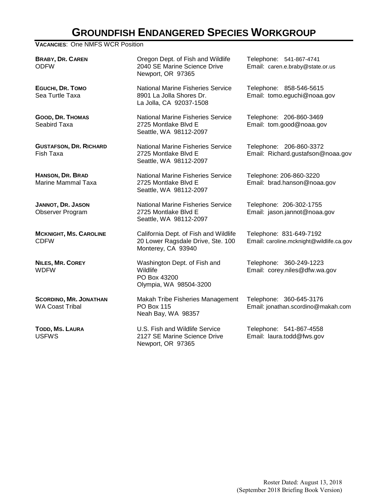## **GROUNDFISH ENDANGERED SPECIES WORKGROUP**

**VACANCIES**: One NMFS WCR Position

**BRABY, DR. CAREN** ODFW

**EGUCHI, DR. TOMO** Sea Turtle Taxa

**GOOD, DR. THOMAS** Seabird Taxa

**GUSTAFSON, DR. RICHARD** Fish Taxa

**HANSON, DR. BRAD** Marine Mammal Taxa

**JANNOT, DR. JASON** Observer Program

**MCKNIGHT, MS. CAROLINE** CDFW

**NILES, MR. COREY** WDFW

**SCORDINO, MR. JONATHAN** WA Coast Tribal

**TODD, MS. LAURA** USFWS

Oregon Dept. of Fish and Wildlife 2040 SE Marine Science Drive Newport, OR 97365

National Marine Fisheries Service 8901 La Jolla Shores Dr. La Jolla, CA 92037-1508

National Marine Fisheries Service 2725 Montlake Blvd E Seattle, WA 98112-2097

National Marine Fisheries Service 2725 Montlake Blvd E Seattle, WA 98112-2097

National Marine Fisheries Service 2725 Montlake Blvd E Seattle, WA 98112-2097

National Marine Fisheries Service 2725 Montlake Blvd E Seattle, WA 98112-2097

California Dept. of Fish and Wildlife 20 Lower Ragsdale Drive, Ste. 100 Monterey, CA 93940

Washington Dept. of Fish and Wildlife PO Box 43200 Olympia, WA 98504-3200

Makah Tribe Fisheries Management PO Box 115 Neah Bay, WA 98357

U.S. Fish and Wildlife Service 2127 SE Marine Science Drive Newport, OR 97365

Telephone: 541-867-4741 Email: caren.e.braby@state.or.us

Telephone: 858-546-5615 Email: tomo.eguchi@noaa.gov

Telephone: 206-860-3469 Email: tom.good@noaa.gov

Telephone: 206-860-3372 Email: Richard.gustafson@noaa.gov

Telephone: 206-860-3220 Email: brad.hanson@noaa.gov

Telephone: 206-302-1755 Email: jason.jannot@noaa.gov

Telephone: 831-649-7192 Email: caroline.mcknight@wildlife.ca.gov

Telephone: 360-249-1223 Email: corey.niles@dfw.wa.gov

Telephone: 360-645-3176 Email: jonathan.scordino@makah.com

Telephone: 541-867-4558 Email: laura.todd@fws.gov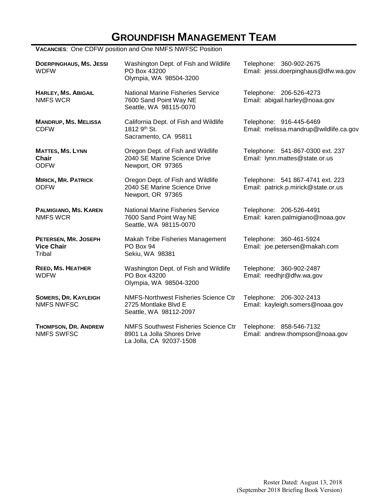## **GROUNDFISH MANAGEMENT TEAM**

**VACANCIES**: One CDFW position and One NMFS NWFSC Position

| <b>DOERPINGHAUS, MS. JESSI</b><br><b>WDFW</b>       | Washington Dept. of Fish and Wildlife<br>PO Box 43200<br>Olympia, WA 98504-3200                      | Telephone: 360-902-2675<br>Email: jessi.doerpinghaus@dfw.wa.gov         |
|-----------------------------------------------------|------------------------------------------------------------------------------------------------------|-------------------------------------------------------------------------|
| <b>HARLEY, MS. ABIGAIL</b><br><b>NMFS WCR</b>       | <b>National Marine Fisheries Service</b><br>7600 Sand Point Way NE<br>Seattle, WA 98115-0070         | Telephone: 206-526-4273<br>Email: abigail.harley@noaa.gov               |
| <b>MANDRUP, MS. MELISSA</b><br><b>CDFW</b>          | California Dept. of Fish and Wildlife<br>1812 9th St.<br>Sacramento, CA 95811                        | Telephone: 916-445-6469<br>Email: melissa.mandrup@wildlife.ca.gov       |
| <b>MATTES, MS. LYNN</b><br>Chair<br><b>ODFW</b>     | Oregon Dept. of Fish and Wildlife<br>2040 SE Marine Science Drive<br>Newport, OR 97365               | Telephone: 541-867-0300 ext. 237<br>Email: lynn.mattes@state.or.us      |
| <b>MIRICK, MR. PATRICK</b><br><b>ODFW</b>           | Oregon Dept. of Fish and Wildlife<br>2040 SE Marine Science Drive<br>Newport, OR 97365               | Telephone: 541 867-4741 ext. 223<br>Email: patrick.p.mirick@state.or.us |
| PALMIGIANO, MS. KAREN<br><b>NMFS WCR</b>            | <b>National Marine Fisheries Service</b><br>7600 Sand Point Way NE<br>Seattle, WA 98115-0070         | Telephone: 206-526-4491<br>Email: karen.palmigiano@noaa.gov             |
| PETERSEN, MR. JOSEPH<br><b>Vice Chair</b><br>Tribal | Makah Tribe Fisheries Management<br>PO Box 94<br>Sekiu, WA 98381                                     | Telephone: 360-461-5924<br>Email: joe.petersen@makah.com                |
| <b>REED, MS. HEATHER</b><br><b>WDFW</b>             | Washington Dept. of Fish and Wildlife<br>PO Box 43200<br>Olympia, WA 98504-3200                      | Telephone: 360-902-2487<br>Email: reedhjr@dfw.wa.gov                    |
| <b>SOMERS, DR. KAYLEIGH</b><br><b>NMFS NWFSC</b>    | NMFS-Northwest Fisheries Science Ctr<br>2725 Montlake Blvd E<br>Seattle, WA 98112-2097               | Telephone: 206-302-2413<br>Email: kayleigh.somers@noaa.gov              |
| THOMPSON, DR. ANDREW<br><b>NMFS SWFSC</b>           | <b>NMFS Southwest Fisheries Science Ctr</b><br>8901 La Jolla Shores Drive<br>La Jolla, CA 92037-1508 | Telephone: 858-546-7132<br>Email: andrew.thompson@noaa.gov              |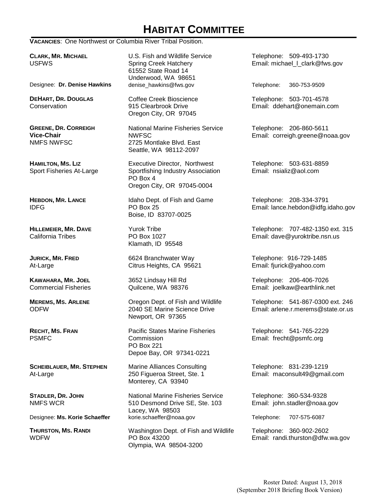## **HABITAT COMMITTEE**

**VACANCIES**: One Northwest or Columbia River Tribal Position.

**CLARK, MR. MICHAEL**  USFWS

Designee: **Dr. Denise Hawkins** denise\_hawkins@fws.gov Telephone: 360-753-9509

**DEHART, DR. DOUGLAS Conservation** 

**GREENE, DR. CORREIGH Vice-Chair** NMFS NWFSC

**HAMILTON, MS. LIZ** Sport Fisheries At-Large

**HEBDON, MR. LANCE** IDFG

**HILLEMEIER, MR. DAVE** California Tribes

**JURICK, MR. FRED** At-Large

**KAWAHARA, MR. JOEL** Commercial Fisheries

**MEREMS, MS. ARLENE** ODFW

**RECHT, MS. FRAN** PSMFC

**SCHEIBLAUER, MR. STEPHEN** At-Large

**STADLER, DR. JOHN** NMFS WCR

**THURSTON, MS. RANDI WDFW** 

U.S. Fish and Wildlife Service Spring Creek Hatchery 61552 State Road 14 Underwood, WA 98651<br>denise\_hawkins@fws.gov

Coffee Creek Bioscience 915 Clearbrook Drive Oregon City, OR 97045

National Marine Fisheries Service NWFSC 2725 Montlake Blvd. East Seattle, WA 98112-2097

Executive Director, Northwest Sportfishing Industry Association PO Box 4 Oregon City, OR 97045-0004

Idaho Dept. of Fish and Game PO Box 25 Boise, ID 83707-0025

Yurok Tribe PO Box 1027 Klamath, ID 95548

6624 Branchwater Way Citrus Heights, CA 95621

3652 Lindsay Hill Rd Quilcene, WA 98376

Oregon Dept. of Fish and Wildlife 2040 SE Marine Science Drive Newport, OR 97365

Pacific States Marine Fisheries **Commission** PO Box 221 Depoe Bay, OR 97341-0221

Marine Alliances Consulting 250 Figueroa Street, Ste. 1 Monterey, CA 93940

National Marine Fisheries Service 510 Desmond Drive SE, Ste. 103 Lacey, WA 98503 Designee: **Ms. Korie Schaeffer** korie.schaeffer@noaa.gov Telephone: 707-575-6087

> Washington Dept. of Fish and Wildlife PO Box 43200 Olympia, WA 98504-3200

Telephone: 509-493-1730 Email: michael I clark@fws.gov

Telephone: 503-701-4578 Email: ddehart@onemain.com

Telephone: 206-860-5611 Email: correigh.greene@noaa.gov

Telephone: 503-631-8859 Email: nsializ@aol.com

Telephone: 208-334-3791 Email: lance.hebdon@idfg.idaho.gov

Telephone: 707-482-1350 ext. 315 Email: dave@yuroktribe.nsn.us

Telephone: 916-729-1485 Email: fjurick@yahoo.com

Telephone: 206-406-7026 Email: joelkaw@earthlink.net

Telephone: 541-867-0300 ext. 246 Email: arlene.r.merems@state.or.us

Telephone: 541-765-2229 Email: frecht@psmfc.org

Telephone: 831-239-1219 Email: maconsult49@gmail.com

Telephone: 360-534-9328 Email: john.stadler@noaa.gov

Telephone: 360-902-2602 Email: randi.thurston@dfw.wa.gov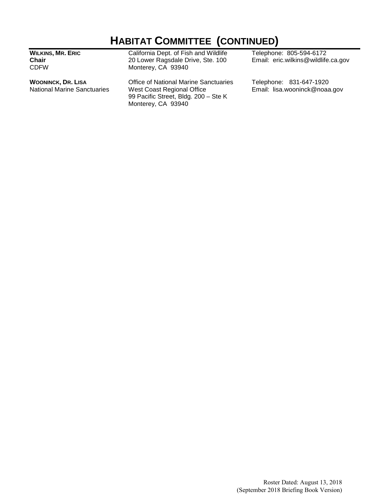## **HABITAT COMMITTEE (CONTINUED)**

**WILKINS, MR. ERIC Chair** CDFW

**WOONINCK, DR. LISA** National Marine Sanctuaries California Dept. of Fish and Wildlife 20 Lower Ragsdale Drive, Ste. 100 Monterey, CA 93940

Office of National Marine Sanctuaries West Coast Regional Office 99 Pacific Street, Bldg. 200 – Ste K Monterey, CA 93940

Telephone: 805-594-6172 Email: eric.wilkins@wildlife.ca.gov

Telephone: 831-647-1920 Email: lisa.wooninck@noaa.gov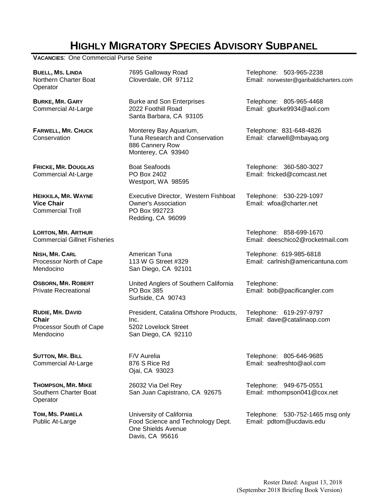## **HIGHLY MIGRATORY SPECIES ADVISORY SUBPANEL**

**VACANCIES**: One Commercial Purse Seine

| <b>BUELL, MS. LINDA</b><br>Northern Charter Boat<br>Operator             | 7695 Galloway Road<br>Cloverdale, OR 97112                                                               | Telephone: 503-965-2238<br>Email: norwester@garibaldicharters.com |
|--------------------------------------------------------------------------|----------------------------------------------------------------------------------------------------------|-------------------------------------------------------------------|
| <b>BURKE, MR. GARY</b><br><b>Commercial At-Large</b>                     | <b>Burke and Son Enterprises</b><br>2022 Foothill Road<br>Santa Barbara, CA 93105                        | Telephone: 805-965-4468<br>Email: gburke9934@aol.com              |
| <b>FARWELL, MR. CHUCK</b><br>Conservation                                | Monterey Bay Aquarium,<br>Tuna Research and Conservation<br>886 Cannery Row<br>Monterey, CA 93940        | Telephone: 831-648-4826<br>Email: cfarwell@mbayaq.org             |
| <b>FRICKE, MR. DOUGLAS</b><br><b>Commercial At-Large</b>                 | <b>Boat Seafoods</b><br>PO Box 2402<br>Westport, WA 98595                                                | Telephone: 360-580-3027<br>Email: fricked@comcast.net             |
| HEIKKILA, MR. WAYNE<br><b>Vice Chair</b><br><b>Commercial Troll</b>      | Executive Director, Western Fishboat<br><b>Owner's Association</b><br>PO Box 992723<br>Redding, CA 96099 | Telephone: 530-229-1097<br>Email: wfoa@charter.net                |
| <b>LORTON, MR. ARTHUR</b><br><b>Commercial Gillnet Fisheries</b>         |                                                                                                          | Telephone: 858-699-1670<br>Email: deeschico2@rocketmail.com       |
| NISH, MR. CARL<br>Processor North of Cape<br>Mendocino                   | American Tuna<br>113 W G Street #329<br>San Diego, CA 92101                                              | Telephone: 619-985-6818<br>Email: carlnish@americantuna.com       |
| <b>OSBORN, MR. ROBERT</b><br><b>Private Recreational</b>                 | United Anglers of Southern California<br>PO Box 385<br>Surfside, CA 90743                                | Telephone:<br>Email: bob@pacificangler.com                        |
| RUDIE, MR. DAVID<br><b>Chair</b><br>Processor South of Cape<br>Mendocino | President, Catalina Offshore Products,<br>Inc.<br>5202 Lovelock Street<br>San Diego, CA 92110            | Telephone: 619-297-9797<br>Email: dave@catalinaop.com             |
| <b>SUTTON, MR. BILL</b><br><b>Commercial At-Large</b>                    | F/V Aurelia<br>876 S Rice Rd<br>Ojai, CA 93023                                                           | Telephone: 805-646-9685<br>Email: seafreshto@aol.com              |
| <b>THOMPSON, MR. MIKE</b><br>Southern Charter Boat<br>Operator           | 26032 Via Del Rey<br>San Juan Capistrano, CA 92675                                                       | Telephone: 949-675-0551<br>Email: mthompson041@cox.net            |
| TOM, MS. PAMELA<br>Public At-Large                                       | University of California<br>Food Science and Technology Dept.<br>One Shields Avenue<br>Davis, CA 95616   | Telephone: 530-752-1465 msg only<br>Email: pdtom@ucdavis.edu      |
|                                                                          |                                                                                                          |                                                                   |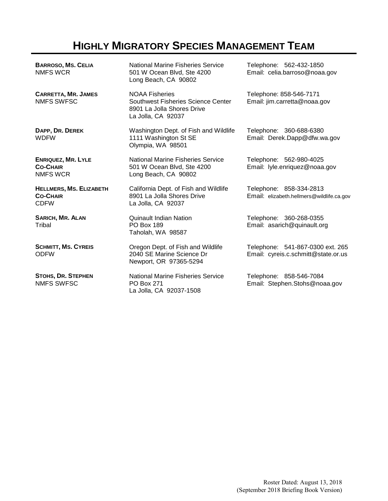## **HIGHLY MIGRATORY SPECIES MANAGEMENT TEAM**

| <b>BARROSO, MS. CELIA</b><br><b>NMFS WCR</b>                     | National Marine Fisheries Service<br>501 W Ocean Blvd, Ste 4200<br>Long Beach, CA 90802                                | Telephone: 562-432-1850<br>Email: celia.barroso@noaa.gov                |
|------------------------------------------------------------------|------------------------------------------------------------------------------------------------------------------------|-------------------------------------------------------------------------|
| <b>CARRETTA, MR. JAMES</b><br><b>NMFS SWFSC</b>                  | <b>NOAA Fisheries</b><br><b>Southwest Fisheries Science Center</b><br>8901 La Jolla Shores Drive<br>La Jolla, CA 92037 | Telephone: 858-546-7171<br>Email: jim.carretta@noaa.gov                 |
| DAPP, DR. DEREK<br><b>WDFW</b>                                   | Washington Dept. of Fish and Wildlife<br>1111 Washington St SE<br>Olympia, WA 98501                                    | Telephone: 360-688-6380<br>Email: Derek.Dapp@dfw.wa.gov                 |
| <b>ENRIQUEZ, MR. LYLE</b><br><b>CO-CHAIR</b><br><b>NMFS WCR</b>  | <b>National Marine Fisheries Service</b><br>501 W Ocean Blvd, Ste 4200<br>Long Beach, CA 90802                         | Telephone: 562-980-4025<br>Email: lyle.enriquez@noaa.gov                |
| <b>HELLMERS, MS. ELIZABETH</b><br><b>CO-CHAIR</b><br><b>CDFW</b> | California Dept. of Fish and Wildlife<br>8901 La Jolla Shores Drive<br>La Jolla, CA 92037                              | Telephone: 858-334-2813<br>Email: elizabeth.hellmers@wildlife.ca.gov    |
| <b>SARICH, MR. ALAN</b><br>Tribal                                | <b>Quinault Indian Nation</b><br><b>PO Box 189</b><br>Taholah, WA 98587                                                | Telephone: 360-268-0355<br>Email: asarich@quinault.org                  |
| <b>SCHMITT, MS. CYREIS</b><br><b>ODFW</b>                        | Oregon Dept. of Fish and Wildlife<br>2040 SE Marine Science Dr<br>Newport, OR 97365-5294                               | Telephone: 541-867-0300 ext. 265<br>Email: cyreis.c.schmitt@state.or.us |
| STOHS, DR. STEPHEN<br><b>NMFS SWFSC</b>                          | <b>National Marine Fisheries Service</b><br>PO Box 271<br>La Jolla, CA 92037-1508                                      | Telephone: 858-546-7084<br>Email: Stephen.Stohs@noaa.gov                |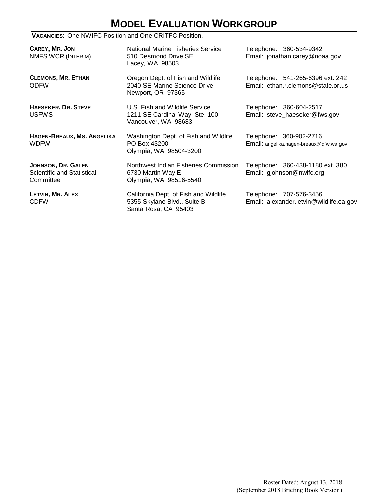# **MODEL EVALUATION WORKGROUP**

#### **VACANCIES**: One NWIFC Position and One CRITFC Position.

| CAREY, MR. JON<br>NMFS WCR (INTERIM)                          | National Marine Fisheries Service<br>510 Desmond Drive SE<br>Lacey, WA 98503                 | Telephone: 360-534-9342<br>Email: jonathan.carey@noaa.gov              |
|---------------------------------------------------------------|----------------------------------------------------------------------------------------------|------------------------------------------------------------------------|
| <b>CLEMONS, MR. ETHAN</b><br><b>ODFW</b>                      | Oregon Dept. of Fish and Wildlife<br>2040 SE Marine Science Drive<br>Newport, OR 97365       | Telephone: 541-265-6396 ext. 242<br>Email: ethan.r.clemons@state.or.us |
| <b>HAESEKER, DR. STEVE</b><br><b>USFWS</b>                    | U.S. Fish and Wildlife Service<br>1211 SE Cardinal Way, Ste. 100<br>Vancouver, WA 98683      | Telephone: 360-604-2517<br>Email: steve_haeseker@fws.gov               |
| HAGEN-BREAUX, MS. ANGELIKA<br><b>WDFW</b>                     | Washington Dept. of Fish and Wildlife<br>PO Box 43200<br>Olympia, WA 98504-3200              | Telephone: 360-902-2716<br>Email: angelika.hagen-breaux@dfw.wa.gov     |
| JOHNSON, DR. GALEN<br>Scientific and Statistical<br>Committee | Northwest Indian Fisheries Commission<br>6730 Martin Way E<br>Olympia, WA 98516-5540         | Telephone: 360-438-1180 ext. 380<br>Email: gjohnson@nwifc.org          |
| LETVIN, MR. ALEX<br><b>CDFW</b>                               | California Dept. of Fish and Wildlife<br>5355 Skylane Blvd., Suite B<br>Santa Rosa, CA 95403 | Telephone: 707-576-3456<br>Email: alexander.letvin@wildlife.ca.gov     |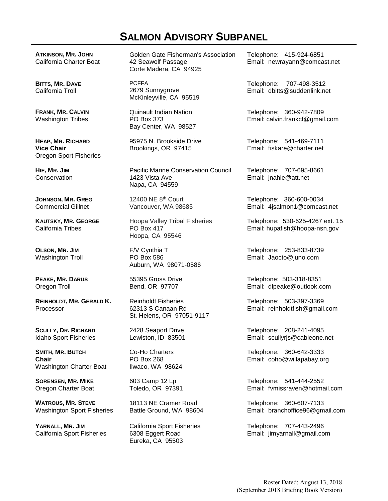## **SALMON ADVISORY SUBPANEL**

**ATKINSON, MR. JOHN** California Charter Boat

**BITTS, MR. DAVE** California Troll

**FRANK, MR. CALVIN** Washington Tribes

**HEAP, MR. RICHARD Vice Chair** Oregon Sport Fisheries

**HIE, MR. JIM Conservation** 

**JOHNSON, MR. GREG**  Commercial Gillnet

**KAUTSKY, MR. GEORGE** California Tribes

**OLSON, MR. JIM** Washington Troll

**PEAKE, MR. DARUS** Oregon Troll

**REINHOLDT, MR. GERALD K.** Processor

**SCULLY, DR. RICHARD** Idaho Sport Fisheries

**SMITH, MR. BUTCH Chair** Washington Charter Boat

**SORENSEN, MR. MIKE** Oregon Charter Boat

**WATROUS, MR. STEVE** Washington Sport Fisheries

**YARNALL, MR. JIM** California Sport Fisheries Golden Gate Fisherman's Association 42 Seawolf Passage Corte Madera, CA 94925

PCFFA 2679 Sunnygrove McKinleyville, CA 95519

Quinault Indian Nation PO Box 373 Bay Center, WA 98527

95975 N. Brookside Drive Brookings, OR 97415

Pacific Marine Conservation Council 1423 Vista Ave Napa, CA 94559

12400 NE 8th Court Vancouver, WA 98685

Hoopa Valley Tribal Fisheries PO Box 417 Hoopa, CA 95546

F/V Cynthia T PO Box 586 Auburn, WA 98071-0586

55395 Gross Drive Bend, OR 97707

Reinholdt Fisheries 62313 S Canaan Rd St. Helens, OR 97051-9117

2428 Seaport Drive Lewiston, ID 83501

Co-Ho Charters PO Box 268 Ilwaco, WA 98624

603 Camp 12 Lp Toledo, OR 97391

18113 NE Cramer Road Battle Ground, WA 98604

California Sport Fisheries 6308 Eggert Road Eureka, CA 95503

Telephone: 415-924-6851 Email: newrayann@comcast.net

Telephone: 707-498-3512 Email: dbitts@suddenlink.net

Telephone: 360-942-7809 Email: calvin.frankcf@gmail.com

Telephone: 541-469-7111 Email: fiskare@charter.net

Telephone: 707-695-8661 Email: jnahie@att.net

Telephone: 360-600-0034 Email: 4jsalmon1@comcast.net

Telephone: 530-625-4267 ext. 15 Email: hupafish@hoopa-nsn.gov

Telephone: 253-833-8739 Email: Jaocto@juno.com

Telephone: 503-318-8351 Email: dlpeake@outlook.com

Telephone: 503-397-3369 Email: reinholdtfish@gmail.com

Telephone: 208-241-4095 Email: scullyrjs@cableone.net

Telephone: 360-642-3333 Email: coho@willapabay.org

Telephone: 541-444-2552 Email: fvmissraven@hotmail.com

Telephone: 360-607-7133 Email: branchoffice96@gmail.com

Telephone: 707-443-2496 Email: jimyarnall@gmail.com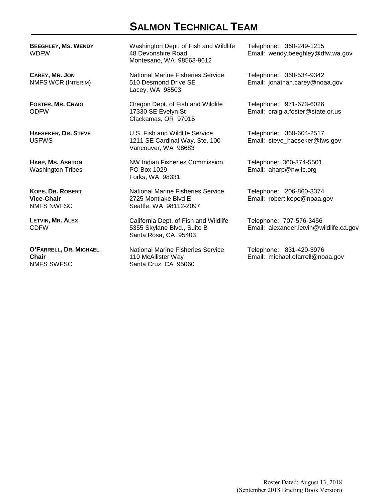## **SALMON TECHNICAL TEAM**

**BEEGHLEY, MS. WENDY** WDFW

**CAREY, MR. JON**  NMFS WCR (INTERIM)

**FOSTER, MR. CRAIG** ODFW

**HAESEKER, DR. STEVE** USFWS

**HARP, MS. ASHTON** Washington Tribes

**KOPE, DR. ROBERT Vice-Chair** NMFS NWFSC

**LETVIN, MR. ALEX** CDFW

**O'FARRELL, DR. MICHAEL Chair** NMFS SWFSC

Washington Dept. of Fish and Wildlife 48 Devonshire Road Montesano, WA 98563-9612

National Marine Fisheries Service 510 Desmond Drive SE Lacey, WA 98503

Oregon Dept. of Fish and Wildlife 17330 SE Evelyn St Clackamas, OR 97015

U.S. Fish and Wildlife Service 1211 SE Cardinal Way, Ste. 100 Vancouver, WA 98683

NW Indian Fisheries Commission PO Box 1029 Forks, WA 98331

National Marine Fisheries Service 2725 Montlake Blvd E Seattle, WA 98112-2097

California Dept. of Fish and Wildlife 5355 Skylane Blvd., Suite B Santa Rosa, CA 95403

National Marine Fisheries Service 110 McAllister Way Santa Cruz, CA 95060

Telephone: 360-249-1215 Email: wendy.beeghley@dfw.wa.gov

Telephone: 360-534-9342 Email: jonathan.carey@noaa.gov

Telephone: 971-673-6026 Email: craig.a.foster@state.or.us

Telephone: 360-604-2517 Email: steve\_haeseker@fws.gov

Telephone: 360-374-5501 Email: aharp@nwifc.org

Telephone: 206-860-3374 Email: robert.kope@noaa.gov

Telephone: 707-576-3456 Email: alexander.letvin@wildlife.ca.gov

Telephone: 831-420-3976 Email: michael.ofarrell@noaa.gov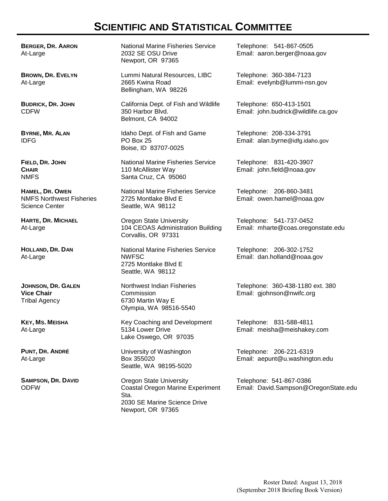## **SCIENTIFIC AND STATISTICAL COMMITTEE**

**BERGER, DR. AARON** At-Large

**BROWN, DR. EVELYN** At-Large

**BUDRICK, DR. JOHN** CDFW

**BYRNE, MR. ALAN** IDFG

**FIELD, DR. JOHN CHAIR** NMFS

**HAMEL, DR. OWEN** NMFS Northwest Fisheries Science Center

**HARTE, DR. MICHAEL** At-Large

**HOLLAND, DR. DAN** At-Large

**JOHNSON, DR. GALEN Vice Chair** Tribal Agency

**KEY, MS. MEISHA** At-Large

**PUNT, DR. ANDRÉ** At-Large

**SAMPSON, DR. DAVID** ODFW

National Marine Fisheries Service 2032 SE OSU Drive Newport, OR 97365

Lummi Natural Resources, LIBC 2665 Kwina Road Bellingham, WA 98226

California Dept. of Fish and Wildlife 350 Harbor Blvd. Belmont, CA 94002

Idaho Dept. of Fish and Game PO Box 25 Boise, ID 83707-0025

National Marine Fisheries Service 110 McAllister Way Santa Cruz, CA 95060

National Marine Fisheries Service 2725 Montlake Blvd E Seattle, WA 98112

Oregon State University 104 CEOAS Administration Building Corvallis, OR 97331

National Marine Fisheries Service NWFSC 2725 Montlake Blvd E Seattle, WA 98112

Northwest Indian Fisheries **Commission** 6730 Martin Way E Olympia, WA 98516-5540

Key Coaching and Development 5134 Lower Drive Lake Oswego, OR 97035

University of Washington Box 355020 Seattle, WA 98195-5020

Oregon State University Coastal Oregon Marine Experiment Sta. 2030 SE Marine Science Drive Newport, OR 97365

Telephone: 541-867-0505 Email: aaron.berger@noaa.gov

Telephone: 360-384-7123 Email: evelynb@lummi-nsn.gov

Telephone: 650-413-1501 Email: john.budrick@wildlife.ca.gov

Telephone: 208-334-3791 Email: alan.byrne@idfg.idaho.gov

Telephone: 831-420-3907 Email: john.field@noaa.gov

Telephone: 206-860-3481 Email: owen.hamel@noaa.gov

Telephone: 541-737-0452 Email: mharte@coas.oregonstate.edu

Telephone: 206-302-1752 Email: dan.holland@noaa.gov

Telephone: 360-438-1180 ext. 380 Email: gjohnson@nwifc.org

Telephone: 831-588-4811 Email: meisha@meishakey.com

Telephone: 206-221-6319 Email: aepunt@u.washington.edu

Telephone: 541-867-0386 Email: David.Sampson@OregonState.edu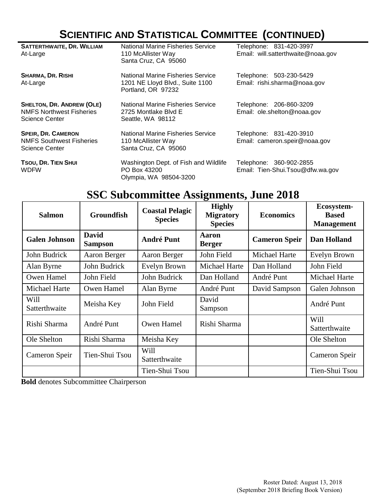# **SCIENTIFIC AND STATISTICAL COMMITTEE (CONTINUED)**

| <b>SATTERTHWAITE, DR. WILLIAM</b><br>At-Large                                         | <b>National Marine Fisheries Service</b><br>110 McAllister Way<br>Santa Cruz, CA 95060     | Telephone: 831-420-3997<br>Email: will.satterthwaite@noaa.gov |
|---------------------------------------------------------------------------------------|--------------------------------------------------------------------------------------------|---------------------------------------------------------------|
| <b>SHARMA, DR. RISHI</b><br>At-Large                                                  | National Marine Fisheries Service<br>1201 NE Lloyd Blvd., Suite 1100<br>Portland, OR 97232 | Telephone: 503-230-5429<br>Email: rishi.sharma@noaa.gov       |
| <b>SHELTON, DR. ANDREW (OLE)</b><br><b>NMFS Northwest Fisheries</b><br>Science Center | National Marine Fisheries Service<br>2725 Montlake Blvd E<br>Seattle, WA 98112             | Telephone: 206-860-3209<br>Email: ole.shelton@noaa.gov        |
| <b>SPEIR, DR. CAMERON</b><br><b>NMFS Southwest Fisheries</b><br><b>Science Center</b> | National Marine Fisheries Service<br>110 McAllister Way<br>Santa Cruz, CA 95060            | Telephone: 831-420-3910<br>Email: cameron.speir@noaa.gov      |
| TSOU, DR. TIEN SHUI<br><b>WDFW</b>                                                    | Washington Dept. of Fish and Wildlife<br>PO Box 43200<br>Olympia, WA 98504-3200            | Telephone: 360-902-2855<br>Email: Tien-Shui.Tsou@dfw.wa.gov   |

## **SSC Subcommittee Assignments, June 2018**

| <b>Salmon</b>         | <b>Groundfish</b>              | <b>Coastal Pelagic</b><br><b>Species</b> | <b>Highly</b><br><b>Migratory</b><br><b>Species</b> | <b>Economics</b>     | Ecosystem-<br><b>Based</b><br><b>Management</b> |
|-----------------------|--------------------------------|------------------------------------------|-----------------------------------------------------|----------------------|-------------------------------------------------|
| <b>Galen Johnson</b>  | <b>David</b><br><b>Sampson</b> | <b>André Punt</b>                        | <b>Aaron</b><br><b>Berger</b>                       | <b>Cameron Speir</b> | Dan Holland                                     |
| John Budrick          | Aaron Berger                   | Aaron Berger                             | John Field                                          | Michael Harte        | Evelyn Brown                                    |
| Alan Byrne            | John Budrick                   | Evelyn Brown                             | <b>Michael Harte</b>                                | Dan Holland          | John Field                                      |
| Owen Hamel            | John Field                     | John Budrick                             | Dan Holland                                         | André Punt           | Michael Harte                                   |
| <b>Michael Harte</b>  | Owen Hamel                     | Alan Byrne                               | André Punt                                          | David Sampson        | Galen Johnson                                   |
| Will<br>Satterthwaite | Meisha Key                     | John Field                               | David<br>Sampson                                    |                      | André Punt                                      |
| Rishi Sharma          | André Punt                     | Owen Hamel                               | Rishi Sharma                                        |                      | Will<br>Satterthwaite                           |
| Ole Shelton           | Rishi Sharma                   | Meisha Key                               |                                                     |                      | Ole Shelton                                     |
| Cameron Speir         | Tien-Shui Tsou                 | Will<br>Satterthwaite                    |                                                     |                      | Cameron Speir                                   |
|                       |                                | Tien-Shui Tsou                           |                                                     |                      | Tien-Shui Tsou                                  |

**Bold** denotes Subcommittee Chairperson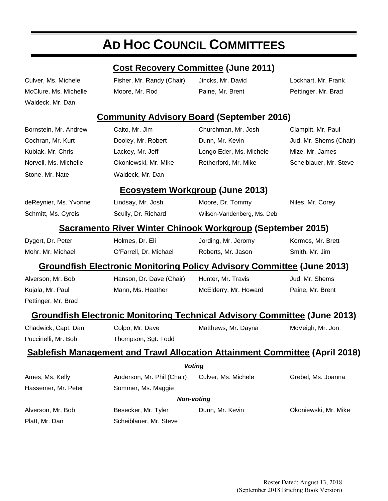# **AD HOC COUNCIL COMMITTEES**

#### **Cost Recovery Committee (June 2011)**

Waldeck, Mr. Dan

Culver, Ms. Michele Fisher, Mr. Randy (Chair) Jincks, Mr. David Lockhart, Mr. Frank McClure, Ms. Michelle Moore, Mr. Rod Paine, Mr. Brent Pettinger, Mr. Brad

#### **Community Advisory Board (September 2016)**

|                       | <u> 11 ministrator (f. 1886)</u>                                              |                                                                                    |                        |  |  |  |
|-----------------------|-------------------------------------------------------------------------------|------------------------------------------------------------------------------------|------------------------|--|--|--|
| Bornstein, Mr. Andrew | Caito, Mr. Jim                                                                | Churchman, Mr. Josh                                                                | Clampitt, Mr. Paul     |  |  |  |
| Cochran, Mr. Kurt     | Dooley, Mr. Robert                                                            | Dunn, Mr. Kevin                                                                    | Jud, Mr. Shems (Chair) |  |  |  |
| Kubiak, Mr. Chris     | Lackey, Mr. Jeff                                                              | Longo Eder, Ms. Michele                                                            | Mize, Mr. James        |  |  |  |
| Norvell, Ms. Michelle | Okoniewski, Mr. Mike                                                          | Retherford, Mr. Mike                                                               | Scheiblauer, Mr. Steve |  |  |  |
| Stone, Mr. Nate       | Waldeck, Mr. Dan                                                              |                                                                                    |                        |  |  |  |
|                       | <b>Ecosystem Workgroup (June 2013)</b>                                        |                                                                                    |                        |  |  |  |
| deReynier, Ms. Yvonne | Lindsay, Mr. Josh                                                             | Moore, Dr. Tommy                                                                   | Niles, Mr. Corey       |  |  |  |
| Schmitt, Ms. Cyreis   | Scully, Dr. Richard                                                           | Wilson-Vandenberg, Ms. Deb                                                         |                        |  |  |  |
|                       |                                                                               | Sacramento River Winter Chinook Workgroup (September 2015)                         |                        |  |  |  |
| Dygert, Dr. Peter     | Holmes, Dr. Eli                                                               | Jording, Mr. Jeromy                                                                | Kormos, Mr. Brett      |  |  |  |
| Mohr, Mr. Michael     | O'Farrell, Dr. Michael                                                        | Roberts, Mr. Jason                                                                 | Smith, Mr. Jim         |  |  |  |
|                       | <b>Groundfish Electronic Monitoring Policy Advisory Committee (June 2013)</b> |                                                                                    |                        |  |  |  |
| Alverson, Mr. Bob     | Hanson, Dr. Dave (Chair)                                                      | Hunter, Mr. Travis                                                                 | Jud, Mr. Shems         |  |  |  |
| Kujala, Mr. Paul      | Mann, Ms. Heather                                                             | McElderry, Mr. Howard                                                              | Paine, Mr. Brent       |  |  |  |
| Pettinger, Mr. Brad   |                                                                               |                                                                                    |                        |  |  |  |
|                       |                                                                               | <b>Groundfish Electronic Monitoring Technical Advisory Committee (June 2013)</b>   |                        |  |  |  |
| Chadwick, Capt. Dan   | Colpo, Mr. Dave                                                               | Matthews, Mr. Dayna                                                                | McVeigh, Mr. Jon       |  |  |  |
| Puccinelli, Mr. Bob   | Thompson, Sgt. Todd                                                           |                                                                                    |                        |  |  |  |
|                       |                                                                               | <b>Sablefish Management and Trawl Allocation Attainment Committee (April 2018)</b> |                        |  |  |  |
|                       | <b>Voting</b>                                                                 |                                                                                    |                        |  |  |  |
| Ames, Ms. Kelly       | Anderson, Mr. Phil (Chair)                                                    | Culver, Ms. Michele                                                                | Grebel, Ms. Joanna     |  |  |  |
| Hassemer, Mr. Peter   | Sommer, Ms. Maggie                                                            |                                                                                    |                        |  |  |  |
|                       | <b>Non-voting</b>                                                             |                                                                                    |                        |  |  |  |
| Alverson, Mr. Bob     | Besecker, Mr. Tyler                                                           | Dunn, Mr. Kevin                                                                    | Okoniewski, Mr. Mike   |  |  |  |
| Platt, Mr. Dan        | Scheiblauer, Mr. Steve                                                        |                                                                                    |                        |  |  |  |